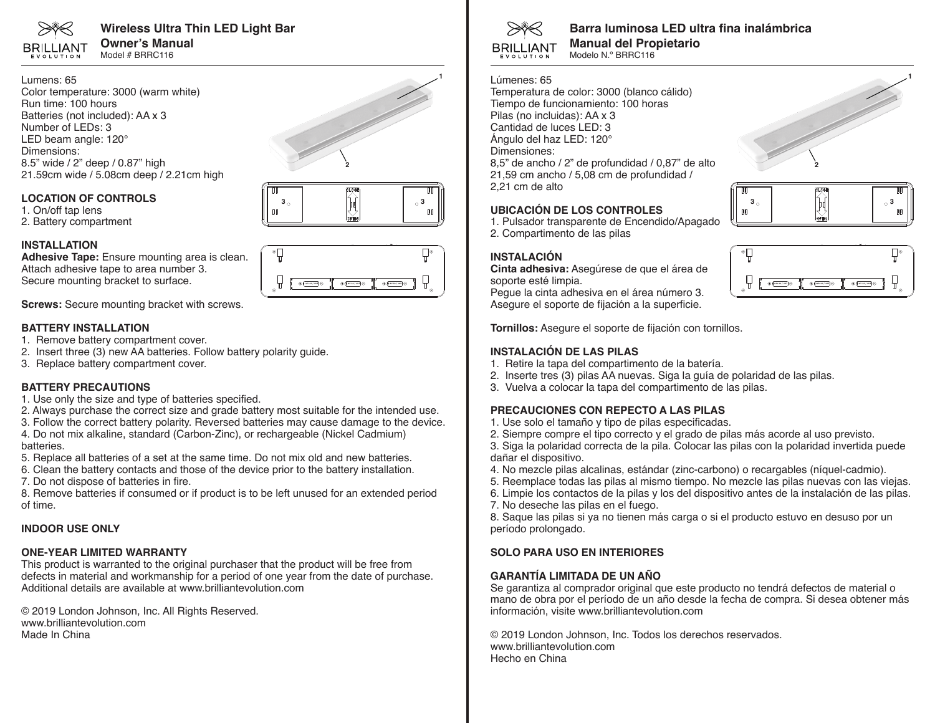

**Wireless Ultra Thin LED Light Bar Owner's Manual** Model # BRRC116

Lumens: 65 Color temperature: 3000 (warm white) Run time: 100 hours Batteries (not included): AA x 3 Number of LEDs: 3 LED beam angle: 120° Dimensions: 8.5" wide / 2" deep / 0.87" high 21.59cm wide / 5.08cm deep / 2.21cm high

#### **LOCATION OF CONTROLS**

- 1. On/off tap lens
- 2. Battery compartment

#### **INSTALLATION**

**Adhesive Tape:** Ensure mounting area is clean. Attach adhesive tape to area number 3. Secure mounting bracket to surface.

**Screws:** Secure mounting bracket with screws.

#### **BATTERY INSTALLATION**

- 1. Remove battery compartment cover.
- 2. Insert three (3) new AA batteries. Follow battery polarity guide.
- 3. Replace battery compartment cover.

#### **BATTERY PRECAUTIONS**

- 1. Use only the size and type of batteries specified.
- 2. Always purchase the correct size and grade battery most suitable for the intended use.
- 3. Follow the correct battery polarity. Reversed batteries may cause damage to the device.

4. Do not mix alkaline, standard (Carbon-Zinc), or rechargeable (Nickel Cadmium) batteries.

- 5. Replace all batteries of a set at the same time. Do not mix old and new batteries.
- 6. Clean the battery contacts and those of the device prior to the battery installation.
- 7. Do not dispose of batteries in fire.

8. Remove batteries if consumed or if product is to be left unused for an extended period of time.

#### **INDOOR USE ONLY**

### **ONE-YEAR LIMITED WARRANTY**

This product is warranted to the original purchaser that the product will be free from defects in material and workmanship for a period of one year from the date of purchase. Additional details are available at www.brilliantevolution.com

© 2019 London Johnson, Inc. All Rights Reserved. www.brilliantevolution.com Made In China









# **Barra luminosa LED ultra fina inalámbrica**

**Manual del Propietario** Modelo N.º BRRC116

#### Lúmenes: 65

Temperatura de color: 3000 (blanco cálido) Tiempo de funcionamiento: 100 horas Pilas (no incluidas): AA x 3 Cantidad de luces LED: 3 Ángulo del haz LED: 120° Dimensiones: 8,5" de ancho / 2" de profundidad / 0,87" de alto 21,59 cm ancho / 5,08 cm de profundidad / 2,21 cm de alto

#### **UBICACIÓN DE LOS CONTROLES**

1. Pulsador transparente de Encendido/Apagado 2. Compartimento de las pilas

#### **INSTALACIÓN**

**Cinta adhesiva:** Asegúrese de que el área de soporte esté limpia. Pegue la cinta adhesiva en el área número 3. Asegure el soporte de fijación a la superficie.



**3 3**

 $00$ 

**2**

**1**

OO.

**Tornillos:** Asegure el soporte de fijación con tornillos.

#### **INSTALACIÓN DE LAS PILAS**

- 1. Retire la tapa del compartimento de la batería.
- 2. Inserte tres (3) pilas AA nuevas. Siga la guía de polaridad de las pilas.
- 3. Vuelva a colocar la tapa del compartimento de las pilas.

#### **PRECAUCIONES CON REPECTO A LAS PILAS**

- 1. Use solo el tamaño y tipo de pilas especificadas.
- 2. Siempre compre el tipo correcto y el grado de pilas más acorde al uso previsto.
- 3. Siga la polaridad correcta de la pila. Colocar las pilas con la polaridad invertida puede dañar el dispositivo.
- 4. No mezcle pilas alcalinas, estándar (zinc-carbono) o recargables (níquel-cadmio).
- 5. Reemplace todas las pilas al mismo tiempo. No mezcle las pilas nuevas con las viejas.
- 6. Limpie los contactos de la pilas y los del dispositivo antes de la instalación de las pilas.
- 7. No deseche las pilas en el fuego.

8. Saque las pilas si ya no tienen más carga o si el producto estuvo en desuso por un período prolongado.

## **SOLO PARA USO EN INTERIORES**

## **GARANTÍA LIMITADA DE UN AÑO**

Se garantiza al comprador original que este producto no tendrá defectos de material o mano de obra por el período de un año desde la fecha de compra. Si desea obtener más información, visite www.brilliantevolution.com

© 2019 London Johnson, Inc. Todos los derechos reservados. www.brilliantevolution.com Hecho en China